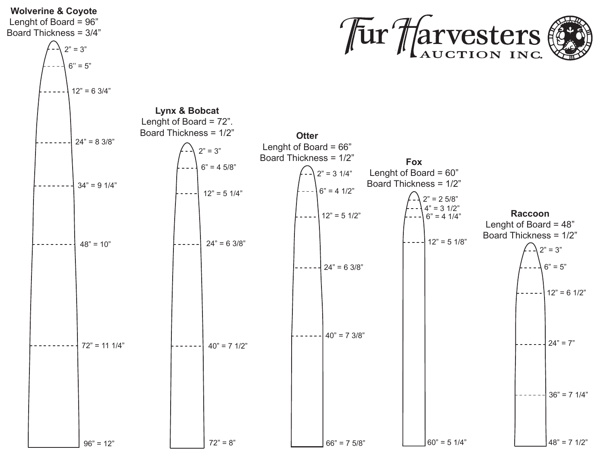## **Wolverine & Coyote** Tur Harvesters Lenght of Board = 96" Board Thickness = 3/4"  $2" = 3"$  $6" = 5"$  $12" = 63/4"$ **Lynx & Bobcat** Lenght of Board = 72". Board Thickness = 1/2" **Otter**  $24" = 8 \frac{3}{8"$ Lenght of Board = 66"  $2" = 3"$ Board Thickness = 1/2" **Fox**  $6" = 45/8"$ Lenght of Board = 60"  $2" = 3 \frac{1}{4"$ Board Thickness = 1/2"  $34" = 9 \frac{1}{4"$  $6" = 4 \frac{1}{2"$  $12" = 5 \frac{1}{4"$  $2" = 25/8"$  $4" = 3 \frac{1}{2"$ **Raccoon**  $12" = 5 \frac{1}{2"$  $6" = 4 \frac{1}{4"$ Lenght of Board  $= 48$ " Board Thickness = 1/2"  $12" = 5 \frac{1}{8"$  $24" = 63/8"$  $48" = 10"$  $2" = 3"$  $24" = 63/8"$  $6" = 5"$  $12" = 6 \frac{1}{2"$  $40" = 7 \frac{3}{8"$  $24" = 7"$  $72" = 11 \frac{1}{4"$  $40" = 7 \frac{1}{2"$  $36" = 7 \frac{1}{4"$  $72" = 8"$  $60" = 5 \frac{1}{4"$  $48" = 7 \frac{1}{2"$  $96" = 12"$  $66" = 75/8"$